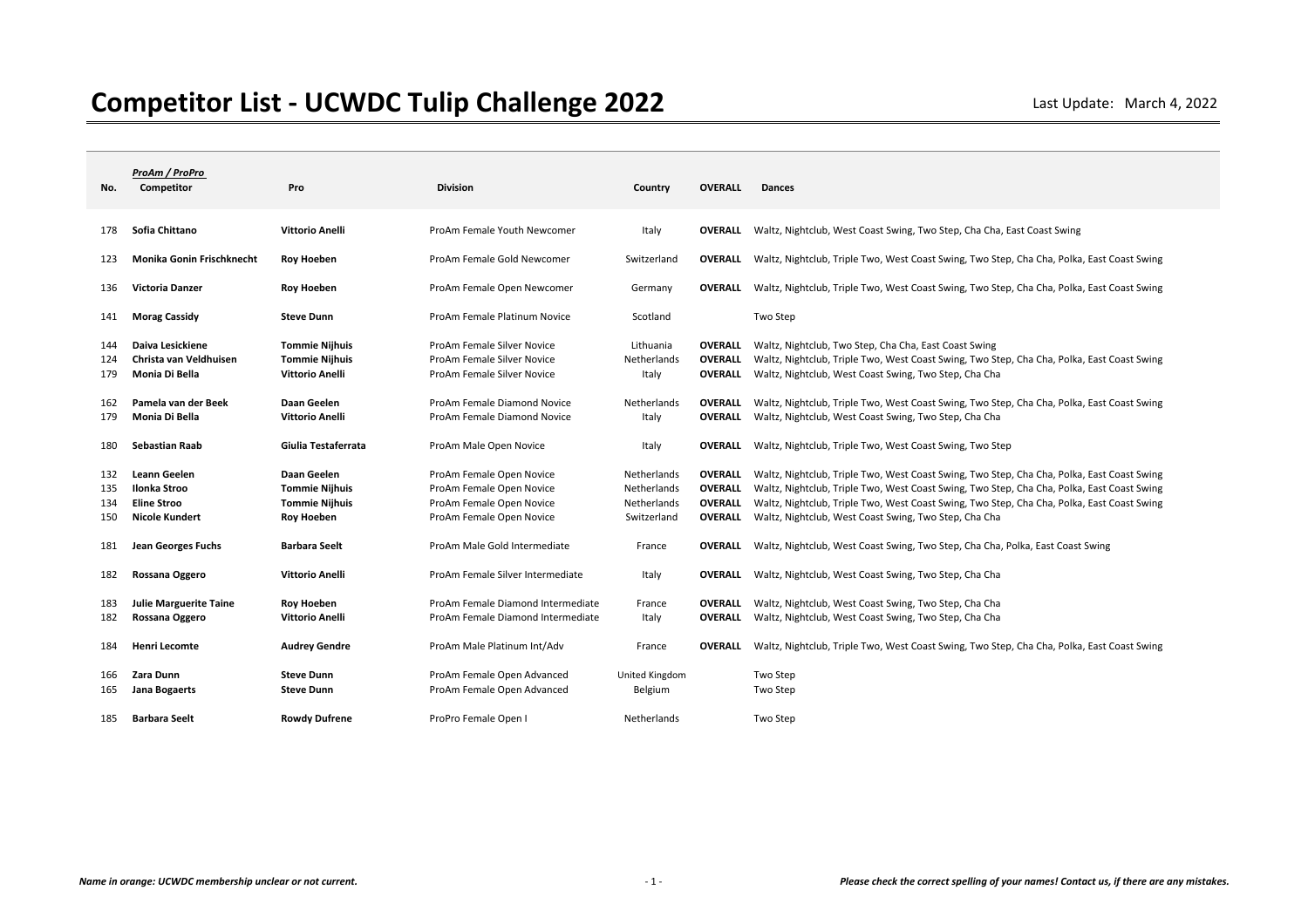| No.                      | ProAm / ProPro<br>Competitor                                         | Pro                                                                                | <b>Division</b>                                                                                              | Country                                                  | <b>OVERALL</b>                                                       | <b>Dances</b>                                                                                                                                                                                                                                                                                                                                   |
|--------------------------|----------------------------------------------------------------------|------------------------------------------------------------------------------------|--------------------------------------------------------------------------------------------------------------|----------------------------------------------------------|----------------------------------------------------------------------|-------------------------------------------------------------------------------------------------------------------------------------------------------------------------------------------------------------------------------------------------------------------------------------------------------------------------------------------------|
| 178                      | Sofia Chittano                                                       | <b>Vittorio Anelli</b>                                                             | ProAm Female Youth Newcomer                                                                                  | Italy                                                    | <b>OVERALL</b>                                                       | Waltz, Nightclub, West Coast Swing, Two Step, Cha Cha, East Coast Swing                                                                                                                                                                                                                                                                         |
| 123                      | Monika Gonin Frischknecht                                            | Roy Hoeben                                                                         | ProAm Female Gold Newcomer                                                                                   | Switzerland                                              | OVERALL                                                              | Waltz, Nightclub, Triple Two, West Coast Swing, Two Step, Cha Cha, Polka, East Coast Swing                                                                                                                                                                                                                                                      |
| 136                      | <b>Victoria Danzer</b>                                               | Roy Hoeben                                                                         | ProAm Female Open Newcomer                                                                                   | Germany                                                  | <b>OVERALL</b>                                                       | Waltz, Nightclub, Triple Two, West Coast Swing, Two Step, Cha Cha, Polka, East Coast Swing                                                                                                                                                                                                                                                      |
| 141                      | <b>Morag Cassidy</b>                                                 | <b>Steve Dunn</b>                                                                  | ProAm Female Platinum Novice                                                                                 | Scotland                                                 |                                                                      | Two Step                                                                                                                                                                                                                                                                                                                                        |
| 144<br>124<br>179        | Daiva Lesickiene<br>Christa van Veldhuisen<br>Monia Di Bella         | <b>Tommie Nijhuis</b><br><b>Tommie Nijhuis</b><br><b>Vittorio Anelli</b>           | ProAm Female Silver Novice<br>ProAm Female Silver Novice<br>ProAm Female Silver Novice                       | Lithuania<br>Netherlands<br>Italy                        | <b>OVERALL</b><br><b>OVERALL</b><br><b>OVERALL</b>                   | Waltz, Nightclub, Two Step, Cha Cha, East Coast Swing<br>Waltz, Nightclub, Triple Two, West Coast Swing, Two Step, Cha Cha, Polka, East Coast Swing<br>Waltz, Nightclub, West Coast Swing, Two Step, Cha Cha                                                                                                                                    |
| 162<br>179               | Pamela van der Beek<br>Monia Di Bella                                | Daan Geelen<br><b>Vittorio Anelli</b>                                              | ProAm Female Diamond Novice<br>ProAm Female Diamond Novice                                                   | Netherlands<br>Italy                                     | <b>OVERALL</b><br><b>OVERALL</b>                                     | Waltz, Nightclub, Triple Two, West Coast Swing, Two Step, Cha Cha, Polka, East Coast Swing<br>Waltz, Nightclub, West Coast Swing, Two Step, Cha Cha                                                                                                                                                                                             |
| 180                      | <b>Sebastian Raab</b>                                                | Giulia Testaferrata                                                                | ProAm Male Open Novice                                                                                       | Italy                                                    | <b>OVERALL</b>                                                       | Waltz, Nightclub, Triple Two, West Coast Swing, Two Step                                                                                                                                                                                                                                                                                        |
| 132<br>135<br>134<br>150 | Leann Geelen<br>Ilonka Stroo<br><b>Eline Stroo</b><br>Nicole Kundert | Daan Geelen<br><b>Tommie Nijhuis</b><br><b>Tommie Nijhuis</b><br><b>Roy Hoeben</b> | ProAm Female Open Novice<br>ProAm Female Open Novice<br>ProAm Female Open Novice<br>ProAm Female Open Novice | Netherlands<br>Netherlands<br>Netherlands<br>Switzerland | <b>OVERALL</b><br><b>OVERALL</b><br><b>OVERALL</b><br><b>OVERALL</b> | Waltz, Nightclub, Triple Two, West Coast Swing, Two Step, Cha Cha, Polka, East Coast Swing<br>Waltz, Nightclub, Triple Two, West Coast Swing, Two Step, Cha Cha, Polka, East Coast Swing<br>Waltz, Nightclub, Triple Two, West Coast Swing, Two Step, Cha Cha, Polka, East Coast Swing<br>Waltz, Nightclub, West Coast Swing, Two Step, Cha Cha |
| 181                      | Jean Georges Fuchs                                                   | <b>Barbara Seelt</b>                                                               | ProAm Male Gold Intermediate                                                                                 | France                                                   | <b>OVERALL</b>                                                       | Waltz, Nightclub, West Coast Swing, Two Step, Cha Cha, Polka, East Coast Swing                                                                                                                                                                                                                                                                  |
| 182                      | Rossana Oggero                                                       | <b>Vittorio Anelli</b>                                                             | ProAm Female Silver Intermediate                                                                             | Italy                                                    | <b>OVERALL</b>                                                       | Waltz, Nightclub, West Coast Swing, Two Step, Cha Cha                                                                                                                                                                                                                                                                                           |
| 183<br>182               | <b>Julie Marguerite Taine</b><br>Rossana Oggero                      | <b>Roy Hoeben</b><br><b>Vittorio Anelli</b>                                        | ProAm Female Diamond Intermediate<br>ProAm Female Diamond Intermediate                                       | France<br>Italy                                          | <b>OVERALL</b><br><b>OVERALL</b>                                     | Waltz, Nightclub, West Coast Swing, Two Step, Cha Cha<br>Waltz, Nightclub, West Coast Swing, Two Step, Cha Cha                                                                                                                                                                                                                                  |
| 184                      | Henri Lecomte                                                        | <b>Audrey Gendre</b>                                                               | ProAm Male Platinum Int/Adv                                                                                  | France                                                   | <b>OVERALL</b>                                                       | Waltz, Nightclub, Triple Two, West Coast Swing, Two Step, Cha Cha, Polka, East Coast Swing                                                                                                                                                                                                                                                      |
| 166<br>165               | Zara Dunn<br>Jana Bogaerts                                           | <b>Steve Dunn</b><br><b>Steve Dunn</b>                                             | ProAm Female Open Advanced<br>ProAm Female Open Advanced                                                     | United Kingdom<br>Belgium                                |                                                                      | Two Step<br>Two Step                                                                                                                                                                                                                                                                                                                            |
| 185                      | <b>Barbara Seelt</b>                                                 | <b>Rowdy Dufrene</b>                                                               | ProPro Female Open                                                                                           | Netherlands                                              |                                                                      | Two Step                                                                                                                                                                                                                                                                                                                                        |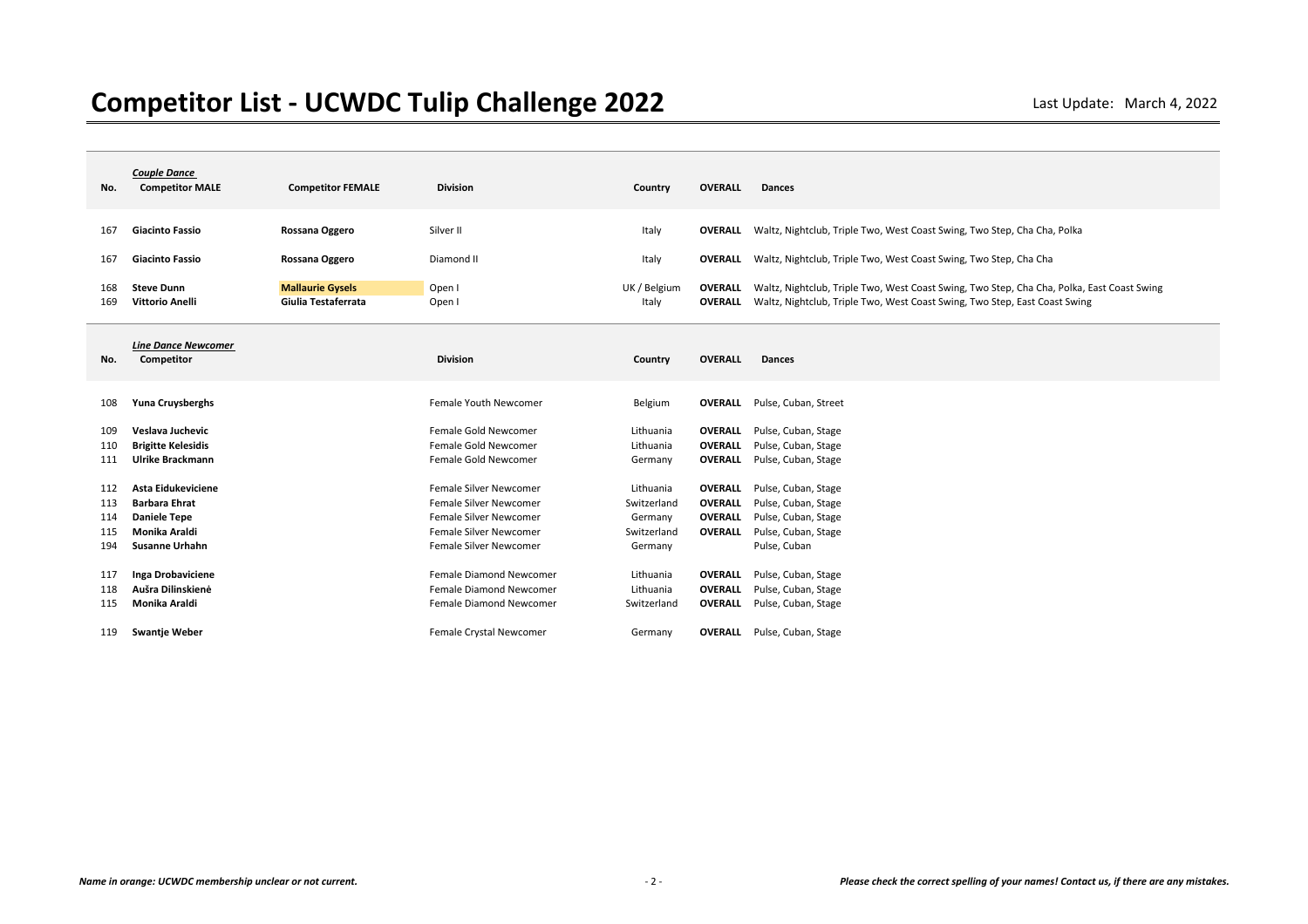| No.        | <b>Couple Dance</b><br><b>Competitor MALE</b> | <b>Competitor FEMALE</b>                       | <b>Division</b>         | Country               | <b>OVERALL</b>                   | <b>Dances</b>                                                                                                                                                            |
|------------|-----------------------------------------------|------------------------------------------------|-------------------------|-----------------------|----------------------------------|--------------------------------------------------------------------------------------------------------------------------------------------------------------------------|
| 167        | <b>Giacinto Fassio</b>                        | Rossana Oggero                                 | Silver II               | Italy                 |                                  | <b>OVERALL</b> Waltz, Nightclub, Triple Two, West Coast Swing, Two Step, Cha Cha, Polka                                                                                  |
| 167        | <b>Giacinto Fassio</b>                        | Rossana Oggero                                 | Diamond II              | Italy                 |                                  | <b>OVERALL</b> Waltz, Nightclub, Triple Two, West Coast Swing, Two Step, Cha Cha                                                                                         |
| 168<br>169 | <b>Steve Dunn</b><br><b>Vittorio Anelli</b>   | <b>Mallaurie Gysels</b><br>Giulia Testaferrata | Open I<br>Open I        | UK / Belgium<br>Italy | <b>OVERALL</b><br><b>OVERALL</b> | Waltz, Nightclub, Triple Two, West Coast Swing, Two Step, Cha Cha, Polka, East Coast Swing<br>Waltz, Nightclub, Triple Two, West Coast Swing, Two Step, East Coast Swing |
| No.        | <b>Line Dance Newcomer</b><br>Competitor      |                                                | <b>Division</b>         | Country               | <b>OVERALL</b>                   | <b>Dances</b>                                                                                                                                                            |
| 108        | Yuna Cruysberghs                              |                                                | Female Youth Newcomer   | Belgium               |                                  | <b>OVERALL</b> Pulse, Cuban, Street                                                                                                                                      |
| 109        | Veslava Juchevic                              |                                                | Female Gold Newcomer    | Lithuania             | <b>OVERALL</b>                   | Pulse, Cuban, Stage                                                                                                                                                      |
| 110        | <b>Brigitte Kelesidis</b>                     |                                                | Female Gold Newcomer    | Lithuania             | <b>OVERALL</b>                   | Pulse, Cuban, Stage                                                                                                                                                      |
| 111        | Ulrike Brackmann                              |                                                | Female Gold Newcomer    | Germany               | <b>OVERALL</b>                   | Pulse, Cuban, Stage                                                                                                                                                      |
| 112        | Asta Eidukeviciene                            |                                                | Female Silver Newcomer  | Lithuania             | <b>OVERALL</b>                   | Pulse, Cuban, Stage                                                                                                                                                      |
| 113        | <b>Barbara Ehrat</b>                          |                                                | Female Silver Newcomer  | Switzerland           | <b>OVERALL</b>                   | Pulse, Cuban, Stage                                                                                                                                                      |
| 114        | <b>Daniele Tepe</b>                           |                                                | Female Silver Newcomer  | Germany               | <b>OVERALL</b>                   | Pulse, Cuban, Stage                                                                                                                                                      |
| 115        | <b>Monika Araldi</b>                          |                                                | Female Silver Newcomer  | Switzerland           | <b>OVERALL</b>                   | Pulse, Cuban, Stage                                                                                                                                                      |
| 194        | <b>Susanne Urhahn</b>                         |                                                | Female Silver Newcomer  | Germany               |                                  | Pulse, Cuban                                                                                                                                                             |
| 117        | Inga Drobaviciene                             |                                                | Female Diamond Newcomer | Lithuania             | <b>OVERALL</b>                   | Pulse, Cuban, Stage                                                                                                                                                      |
| 118        | Aušra Dilinskienė                             |                                                | Female Diamond Newcomer | Lithuania             | <b>OVERALL</b>                   | Pulse, Cuban, Stage                                                                                                                                                      |
| 115        | Monika Araldi                                 |                                                | Female Diamond Newcomer | Switzerland           | <b>OVERALL</b>                   | Pulse, Cuban, Stage                                                                                                                                                      |
| 119        | <b>Swantje Weber</b>                          |                                                | Female Crystal Newcomer | Germany               |                                  | <b>OVERALL</b> Pulse, Cuban, Stage                                                                                                                                       |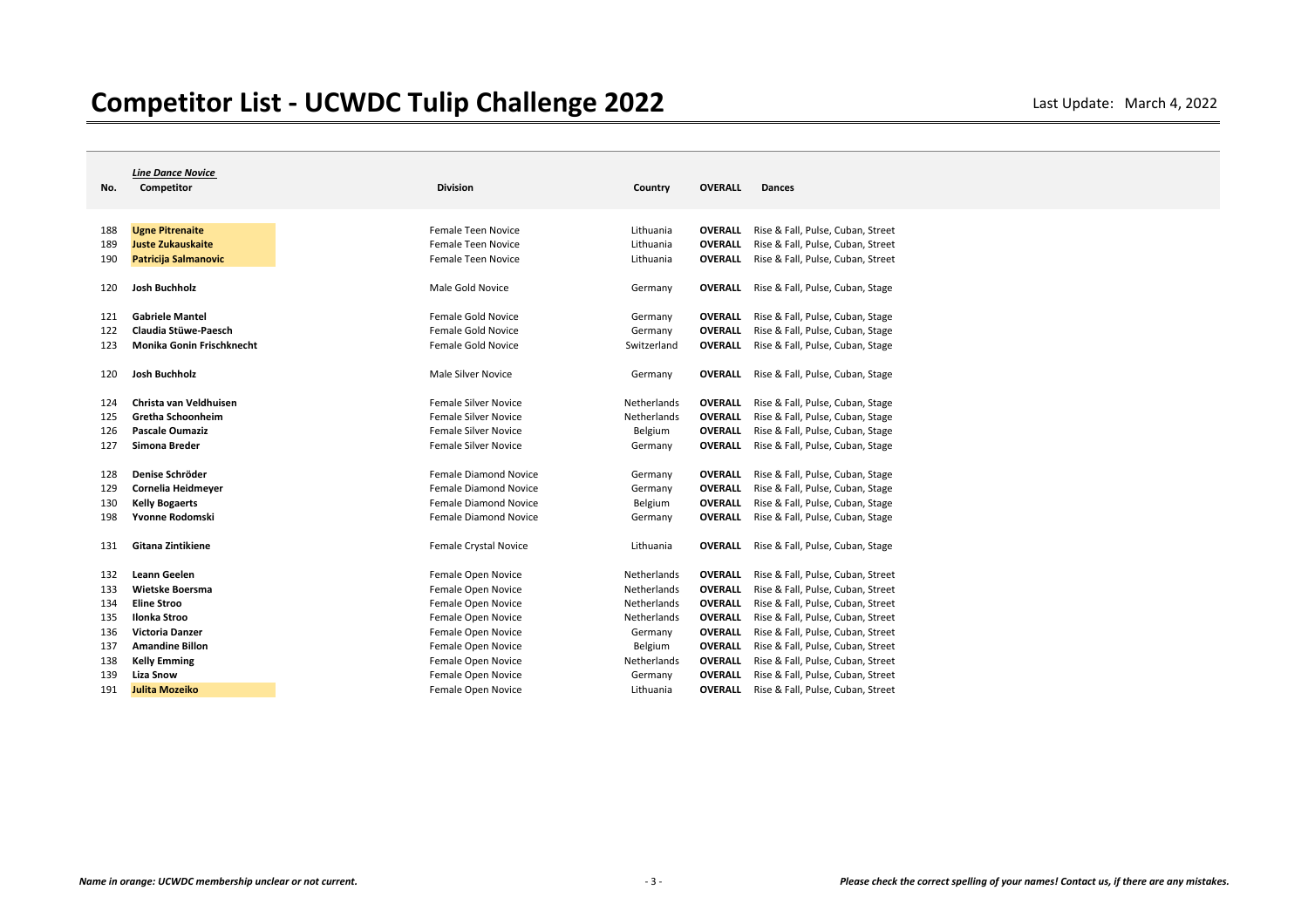|     | <b>Line Dance Novice</b>    |                              |             |                |                                   |
|-----|-----------------------------|------------------------------|-------------|----------------|-----------------------------------|
| No. | Competitor                  | <b>Division</b>              | Country     | <b>OVERALL</b> | <b>Dances</b>                     |
|     |                             |                              |             |                |                                   |
|     |                             |                              |             |                |                                   |
| 188 | <b>Ugne Pitrenaite</b>      | Female Teen Novice           | Lithuania   | <b>OVERALL</b> | Rise & Fall, Pulse, Cuban, Street |
| 189 | <b>Juste Zukauskaite</b>    | Female Teen Novice           | Lithuania   | <b>OVERALL</b> | Rise & Fall, Pulse, Cuban, Street |
| 190 | <b>Patricija Salmanovic</b> | Female Teen Novice           | Lithuania   | <b>OVERALL</b> | Rise & Fall, Pulse, Cuban, Street |
|     | Josh Buchholz               |                              |             |                |                                   |
| 120 |                             | Male Gold Novice             | Germany     | <b>OVERALL</b> | Rise & Fall, Pulse, Cuban, Stage  |
| 121 | <b>Gabriele Mantel</b>      | Female Gold Novice           | Germany     | <b>OVERALL</b> | Rise & Fall, Pulse, Cuban, Stage  |
| 122 | Claudia Stüwe-Paesch        | Female Gold Novice           | Germany     | OVERALL        | Rise & Fall, Pulse, Cuban, Stage  |
| 123 | Monika Gonin Frischknecht   | Female Gold Novice           | Switzerland | <b>OVERALL</b> | Rise & Fall, Pulse, Cuban, Stage  |
|     |                             |                              |             |                |                                   |
| 120 | <b>Josh Buchholz</b>        | Male Silver Novice           | Germany     | OVERALL        | Rise & Fall, Pulse, Cuban, Stage  |
|     |                             |                              |             |                |                                   |
| 124 | Christa van Veldhuisen      | <b>Female Silver Novice</b>  | Netherlands | <b>OVERALL</b> | Rise & Fall, Pulse, Cuban, Stage  |
| 125 | Gretha Schoonheim           | <b>Female Silver Novice</b>  | Netherlands | <b>OVERALL</b> | Rise & Fall, Pulse, Cuban, Stage  |
| 126 | <b>Pascale Oumaziz</b>      | <b>Female Silver Novice</b>  | Belgium     | OVERALL        | Rise & Fall, Pulse, Cuban, Stage  |
| 127 | Simona Breder               | <b>Female Silver Novice</b>  | Germany     | <b>OVERALL</b> | Rise & Fall, Pulse, Cuban, Stage  |
|     |                             |                              |             |                |                                   |
| 128 | Denise Schröder             | <b>Female Diamond Novice</b> | Germany     | <b>OVERALL</b> | Rise & Fall, Pulse, Cuban, Stage  |
| 129 | Cornelia Heidmeyer          | <b>Female Diamond Novice</b> | Germany     | <b>OVERALL</b> | Rise & Fall, Pulse, Cuban, Stage  |
| 130 | <b>Kelly Bogaerts</b>       | <b>Female Diamond Novice</b> | Belgium     | <b>OVERALL</b> | Rise & Fall, Pulse, Cuban, Stage  |
| 198 | Yvonne Rodomski             | <b>Female Diamond Novice</b> | Germany     | <b>OVERALL</b> | Rise & Fall, Pulse, Cuban, Stage  |
| 131 | <b>Gitana Zintikiene</b>    | Female Crystal Novice        | Lithuania   | <b>OVERALL</b> | Rise & Fall, Pulse, Cuban, Stage  |
|     |                             |                              |             |                |                                   |
| 132 | Leann Geelen                | Female Open Novice           | Netherlands | <b>OVERALL</b> | Rise & Fall, Pulse, Cuban, Street |
| 133 | Wietske Boersma             | Female Open Novice           | Netherlands | <b>OVERALL</b> | Rise & Fall, Pulse, Cuban, Street |
| 134 | <b>Eline Stroo</b>          | Female Open Novice           | Netherlands | <b>OVERALL</b> | Rise & Fall, Pulse, Cuban, Street |
| 135 | <b>Ilonka Stroo</b>         | Female Open Novice           | Netherlands | OVERALL        | Rise & Fall, Pulse, Cuban, Street |
| 136 | <b>Victoria Danzer</b>      | Female Open Novice           | Germany     | <b>OVERALL</b> | Rise & Fall, Pulse, Cuban, Street |
| 137 | <b>Amandine Billon</b>      | Female Open Novice           | Belgium     | OVERALL        | Rise & Fall, Pulse, Cuban, Street |
| 138 | <b>Kelly Emming</b>         | Female Open Novice           | Netherlands | <b>OVERALL</b> | Rise & Fall, Pulse, Cuban, Street |
| 139 | <b>Liza Snow</b>            | Female Open Novice           | Germany     | OVERALL        | Rise & Fall, Pulse, Cuban, Street |
| 191 | Julita Mozeiko              | Female Open Novice           | Lithuania   | <b>OVERALL</b> | Rise & Fall, Pulse, Cuban, Street |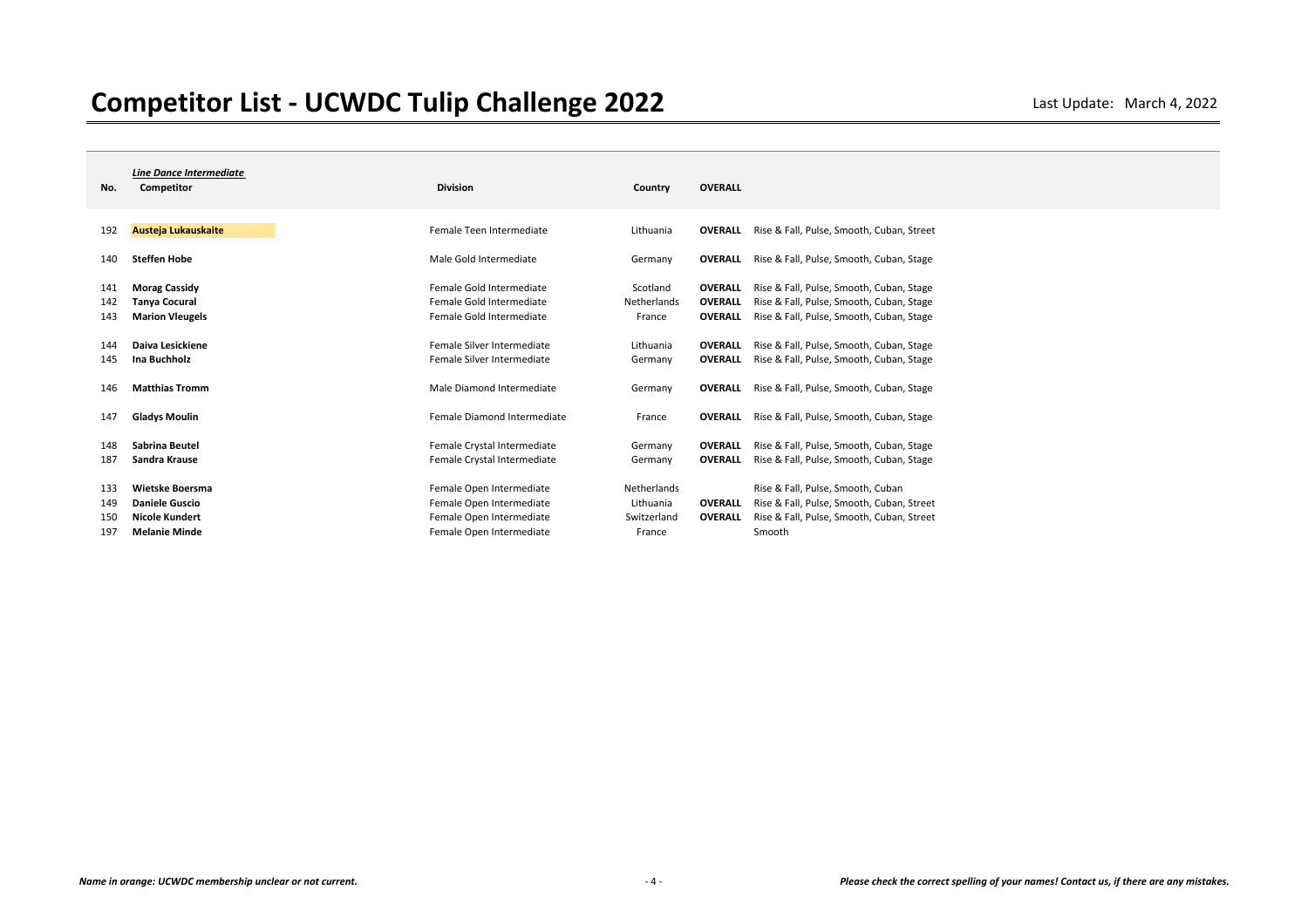| No.        | <b>Line Dance Intermediate</b><br>Competitor  | <b>Division</b>                                            | Country                  | <b>OVERALL</b>                   |                                                                                      |
|------------|-----------------------------------------------|------------------------------------------------------------|--------------------------|----------------------------------|--------------------------------------------------------------------------------------|
| 192        | Austeja Lukauskaite                           | Female Teen Intermediate                                   | Lithuania                | <b>OVERALL</b>                   | Rise & Fall, Pulse, Smooth, Cuban, Street                                            |
| 140        | <b>Steffen Hobe</b>                           | Male Gold Intermediate                                     | Germany                  | <b>OVERALL</b>                   | Rise & Fall, Pulse, Smooth, Cuban, Stage                                             |
| 141<br>142 | <b>Morag Cassidy</b><br><b>Tanya Cocural</b>  | Female Gold Intermediate<br>Female Gold Intermediate       | Scotland<br>Netherlands  | <b>OVERALL</b><br><b>OVERALL</b> | Rise & Fall, Pulse, Smooth, Cuban, Stage<br>Rise & Fall, Pulse, Smooth, Cuban, Stage |
| 143        | <b>Marion Vleugels</b>                        | Female Gold Intermediate                                   | France                   | <b>OVERALL</b>                   | Rise & Fall, Pulse, Smooth, Cuban, Stage                                             |
| 144<br>145 | Daiva Lesickiene<br>Ina Buchholz              | Female Silver Intermediate<br>Female Silver Intermediate   | Lithuania<br>Germany     | <b>OVERALL</b><br><b>OVERALL</b> | Rise & Fall, Pulse, Smooth, Cuban, Stage<br>Rise & Fall, Pulse, Smooth, Cuban, Stage |
| 146        | <b>Matthias Tromm</b>                         | Male Diamond Intermediate                                  | Germany                  | <b>OVERALL</b>                   | Rise & Fall, Pulse, Smooth, Cuban, Stage                                             |
| 147        | <b>Gladys Moulin</b>                          | Female Diamond Intermediate                                | France                   | <b>OVERALL</b>                   | Rise & Fall, Pulse, Smooth, Cuban, Stage                                             |
| 148<br>187 | Sabrina Beutel<br>Sandra Krause               | Female Crystal Intermediate<br>Female Crystal Intermediate | Germany<br>Germany       | <b>OVERALL</b><br><b>OVERALL</b> | Rise & Fall, Pulse, Smooth, Cuban, Stage<br>Rise & Fall, Pulse, Smooth, Cuban, Stage |
| 133<br>149 | Wietske Boersma<br><b>Daniele Guscio</b>      | Female Open Intermediate<br>Female Open Intermediate       | Netherlands<br>Lithuania | <b>OVERALL</b>                   | Rise & Fall, Pulse, Smooth, Cuban<br>Rise & Fall, Pulse, Smooth, Cuban, Street       |
| 150<br>197 | <b>Nicole Kundert</b><br><b>Melanie Minde</b> | Female Open Intermediate<br>Female Open Intermediate       | Switzerland<br>France    | <b>OVERALL</b>                   | Rise & Fall, Pulse, Smooth, Cuban, Street<br>Smooth                                  |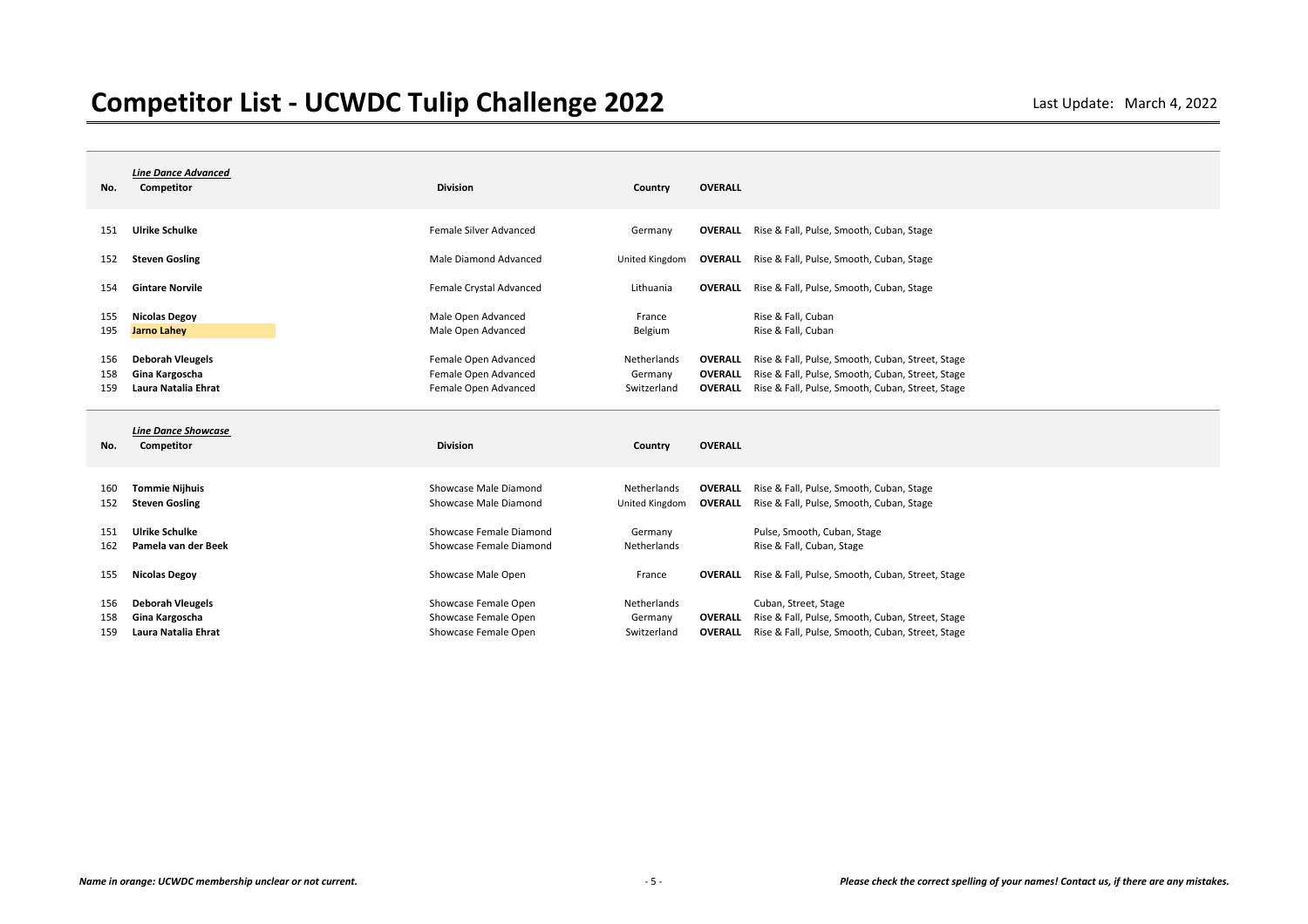| No.        | <b>Line Dance Advanced</b><br>Competitor       | <b>Division</b>                                | Country                       | <b>OVERALL</b>                   |                                                                                      |
|------------|------------------------------------------------|------------------------------------------------|-------------------------------|----------------------------------|--------------------------------------------------------------------------------------|
| 151        | <b>Ulrike Schulke</b>                          | Female Silver Advanced                         | Germany                       |                                  | <b>OVERALL</b> Rise & Fall, Pulse, Smooth, Cuban, Stage                              |
| 152        | <b>Steven Gosling</b>                          | Male Diamond Advanced                          | United Kingdom                |                                  | <b>OVERALL</b> Rise & Fall, Pulse, Smooth, Cuban, Stage                              |
| 154        | <b>Gintare Norvile</b>                         | Female Crystal Advanced                        | Lithuania                     | <b>OVERALL</b>                   | Rise & Fall, Pulse, Smooth, Cuban, Stage                                             |
| 155        | <b>Nicolas Degoy</b>                           | Male Open Advanced                             | France                        |                                  | Rise & Fall, Cuban                                                                   |
| 195        | <b>Jarno Lahey</b>                             | Male Open Advanced                             | Belgium                       |                                  | Rise & Fall, Cuban                                                                   |
| 156        | <b>Deborah Vleugels</b>                        | Female Open Advanced                           | Netherlands                   | <b>OVERALL</b>                   | Rise & Fall, Pulse, Smooth, Cuban, Street, Stage                                     |
| 158        | Gina Kargoscha                                 | Female Open Advanced                           | Germany                       | <b>OVERALL</b>                   | Rise & Fall, Pulse, Smooth, Cuban, Street, Stage                                     |
| 159        | Laura Natalia Ehrat                            | Female Open Advanced                           | Switzerland                   | <b>OVERALL</b>                   | Rise & Fall, Pulse, Smooth, Cuban, Street, Stage                                     |
|            |                                                |                                                |                               |                                  |                                                                                      |
| No.        | <b>Line Dance Showcase</b><br>Competitor       | <b>Division</b>                                | Country                       | <b>OVERALL</b>                   |                                                                                      |
|            |                                                |                                                |                               |                                  |                                                                                      |
| 160<br>152 | <b>Tommie Nijhuis</b><br><b>Steven Gosling</b> | Showcase Male Diamond<br>Showcase Male Diamond | Netherlands<br>United Kingdom | <b>OVERALL</b><br><b>OVERALL</b> | Rise & Fall, Pulse, Smooth, Cuban, Stage<br>Rise & Fall, Pulse, Smooth, Cuban, Stage |
| 151        | <b>Ulrike Schulke</b>                          | Showcase Female Diamond                        | Germany                       |                                  | Pulse, Smooth, Cuban, Stage                                                          |
| 162        | Pamela van der Beek                            | Showcase Female Diamond                        | Netherlands                   |                                  | Rise & Fall, Cuban, Stage                                                            |
| 155        | <b>Nicolas Degoy</b>                           | Showcase Male Open                             | France                        | <b>OVERALL</b>                   | Rise & Fall, Pulse, Smooth, Cuban, Street, Stage                                     |
| 156        | <b>Deborah Vleugels</b>                        | Showcase Female Open                           | Netherlands                   |                                  | Cuban, Street, Stage                                                                 |
| 158        | Gina Kargoscha                                 | Showcase Female Open                           | Germany                       | <b>OVERALL</b>                   | Rise & Fall, Pulse, Smooth, Cuban, Street, Stage                                     |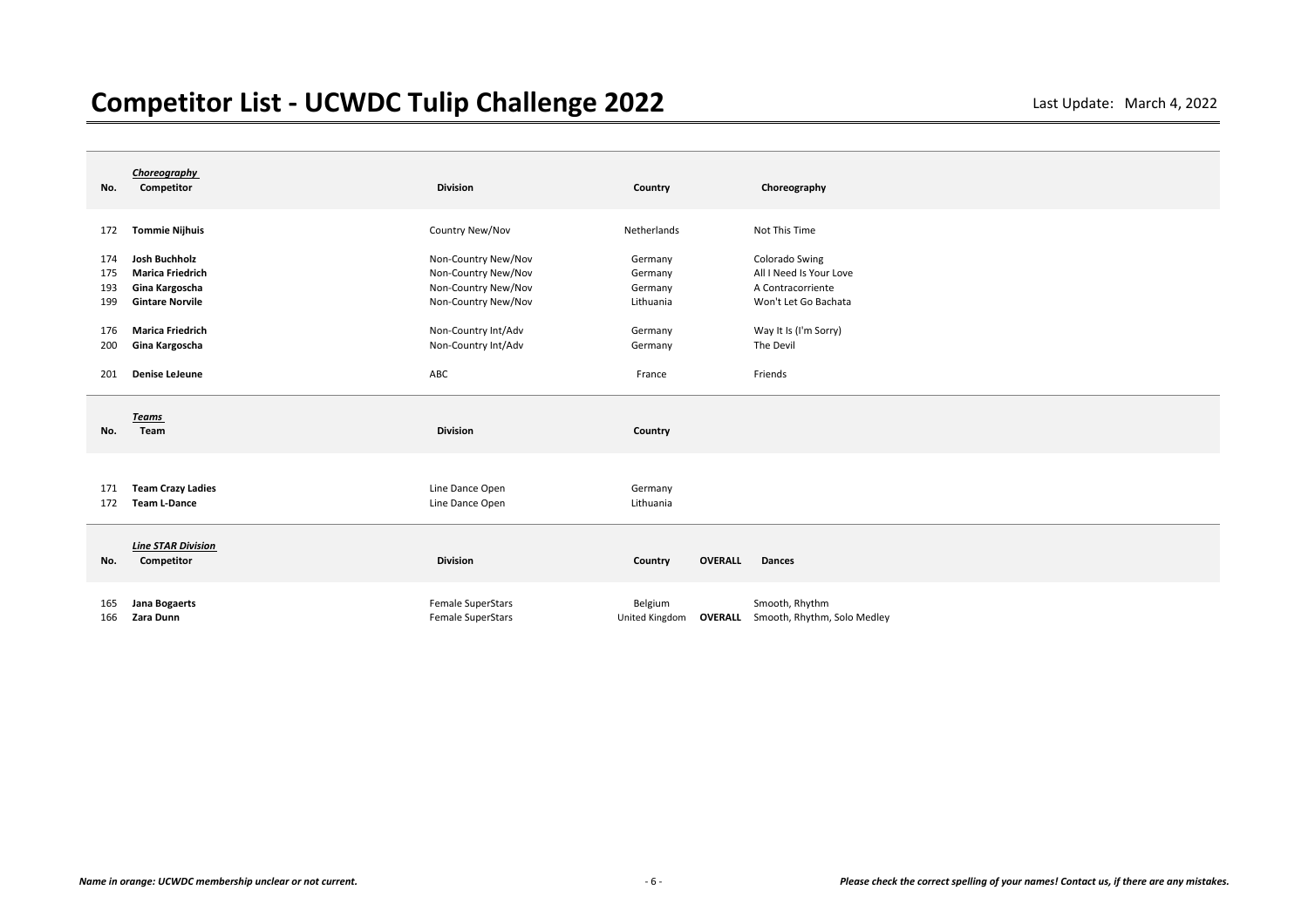| No.                      | Choreography<br>Competitor                                                           | <b>Division</b>                                                                          | Country                                    | Choreography                                                                           |
|--------------------------|--------------------------------------------------------------------------------------|------------------------------------------------------------------------------------------|--------------------------------------------|----------------------------------------------------------------------------------------|
| 172                      | <b>Tommie Nijhuis</b>                                                                | Country New/Nov                                                                          | Netherlands                                | Not This Time                                                                          |
| 174<br>175<br>193<br>199 | Josh Buchholz<br><b>Marica Friedrich</b><br>Gina Kargoscha<br><b>Gintare Norvile</b> | Non-Country New/Nov<br>Non-Country New/Nov<br>Non-Country New/Nov<br>Non-Country New/Nov | Germany<br>Germany<br>Germany<br>Lithuania | Colorado Swing<br>All I Need Is Your Love<br>A Contracorriente<br>Won't Let Go Bachata |
| 176                      | <b>Marica Friedrich</b>                                                              | Non-Country Int/Adv                                                                      | Germany                                    | Way It Is (I'm Sorry)                                                                  |
| 200                      | Gina Kargoscha                                                                       | Non-Country Int/Adv                                                                      | Germany                                    | The Devil                                                                              |
| 201                      | Denise LeJeune                                                                       | ABC                                                                                      | France                                     | Friends                                                                                |
|                          |                                                                                      |                                                                                          |                                            |                                                                                        |
| No.                      | <b>Teams</b><br>Team                                                                 | <b>Division</b>                                                                          | Country                                    |                                                                                        |
| 171<br>172               | <b>Team Crazy Ladies</b><br><b>Team L-Dance</b>                                      | Line Dance Open<br>Line Dance Open                                                       | Germany<br>Lithuania                       |                                                                                        |
| No.                      | <b>Line STAR Division</b><br>Competitor                                              | <b>Division</b>                                                                          | <b>OVERALL</b><br>Country                  | <b>Dances</b>                                                                          |